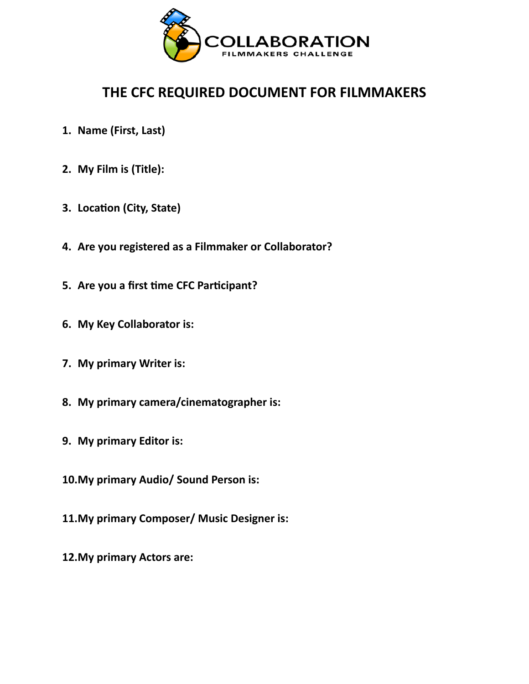

## **THE CFC REQUIRED DOCUMENT FOR FILMMAKERS**

- **1. Name (First, Last)**
- **2. My Film is (Title):**
- **3. Location (City, State)**
- **4. Are you registered as a Filmmaker or Collaborator?**
- **5. Are you a first time CFC Participant?**
- **6. My Key Collaborator is:**
- **7. My primary Writer is:**
- **8. My primary camera/cinematographer is:**
- **9. My primary Editor is:**
- **10.My primary Audio/ Sound Person is:**
- **11.My primary Composer/ Music Designer is:**
- **12.My primary Actors are:**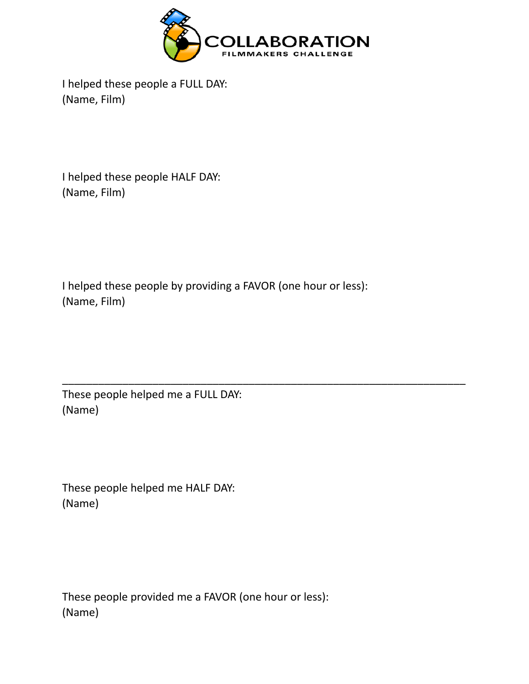

I helped these people a FULL DAY: (Name, Film)

I helped these people HALF DAY: (Name, Film)

I helped these people by providing a FAVOR (one hour or less): (Name, Film)

\_\_\_\_\_\_\_\_\_\_\_\_\_\_\_\_\_\_\_\_\_\_\_\_\_\_\_\_\_\_\_\_\_\_\_\_\_\_\_\_\_\_\_\_\_\_\_\_\_\_\_\_\_\_\_\_\_\_\_\_\_\_\_\_\_\_\_

These people helped me a FULL DAY: (Name)

These people helped me HALF DAY: (Name)

These people provided me a FAVOR (one hour or less): (Name)